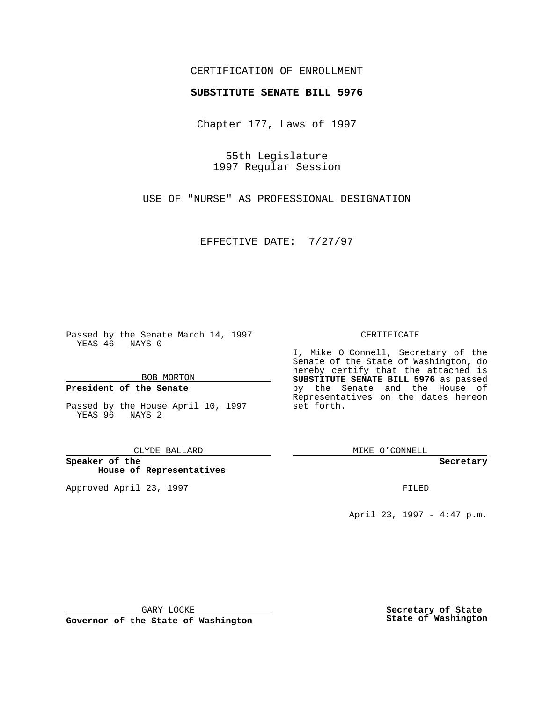## CERTIFICATION OF ENROLLMENT

# **SUBSTITUTE SENATE BILL 5976**

Chapter 177, Laws of 1997

55th Legislature 1997 Regular Session

USE OF "NURSE" AS PROFESSIONAL DESIGNATION

EFFECTIVE DATE: 7/27/97

Passed by the Senate March 14, 1997 YEAS 46 NAYS 0

BOB MORTON

### **President of the Senate**

Passed by the House April 10, 1997 YEAS 96 NAYS 2

CLYDE BALLARD

**Speaker of the House of Representatives**

Approved April 23, 1997 **FILED** 

### CERTIFICATE

I, Mike O Connell, Secretary of the Senate of the State of Washington, do hereby certify that the attached is **SUBSTITUTE SENATE BILL 5976** as passed by the Senate and the House of Representatives on the dates hereon set forth.

MIKE O'CONNELL

#### **Secretary**

April 23, 1997 - 4:47 p.m.

GARY LOCKE

**Governor of the State of Washington**

**Secretary of State State of Washington**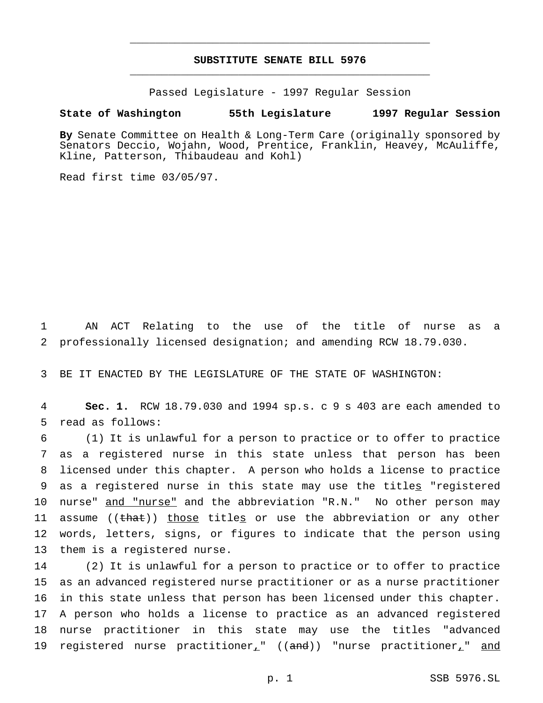# **SUBSTITUTE SENATE BILL 5976** \_\_\_\_\_\_\_\_\_\_\_\_\_\_\_\_\_\_\_\_\_\_\_\_\_\_\_\_\_\_\_\_\_\_\_\_\_\_\_\_\_\_\_\_\_\_\_

\_\_\_\_\_\_\_\_\_\_\_\_\_\_\_\_\_\_\_\_\_\_\_\_\_\_\_\_\_\_\_\_\_\_\_\_\_\_\_\_\_\_\_\_\_\_\_

Passed Legislature - 1997 Regular Session

### **State of Washington 55th Legislature 1997 Regular Session**

**By** Senate Committee on Health & Long-Term Care (originally sponsored by Senators Deccio, Wojahn, Wood, Prentice, Franklin, Heavey, McAuliffe, Kline, Patterson, Thibaudeau and Kohl)

Read first time 03/05/97.

1 AN ACT Relating to the use of the title of nurse as a 2 professionally licensed designation; and amending RCW 18.79.030.

3 BE IT ENACTED BY THE LEGISLATURE OF THE STATE OF WASHINGTON:

4 **Sec. 1.** RCW 18.79.030 and 1994 sp.s. c 9 s 403 are each amended to 5 read as follows:

 (1) It is unlawful for a person to practice or to offer to practice as a registered nurse in this state unless that person has been licensed under this chapter. A person who holds a license to practice 9 as a registered nurse in this state may use the titles "registered 10 nurse" and "nurse" and the abbreviation "R.N." No other person may 11 assume ((that)) those titles or use the abbreviation or any other words, letters, signs, or figures to indicate that the person using them is a registered nurse.

 (2) It is unlawful for a person to practice or to offer to practice as an advanced registered nurse practitioner or as a nurse practitioner in this state unless that person has been licensed under this chapter. A person who holds a license to practice as an advanced registered nurse practitioner in this state may use the titles "advanced 19 registered nurse practitioner<sub>+</sub>" ((and)) "nurse practitioner<sub>+</sub>" and